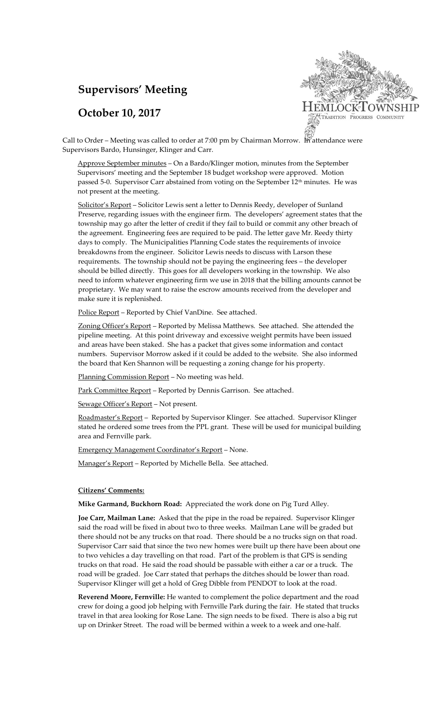# **Supervisors' Meeting**

## **October 10, 2017**



Call to Order – Meeting was called to order at 7:00 pm by Chairman Morrow. In attendance were Supervisors Bardo, Hunsinger, Klinger and Carr.

Approve September minutes – On a Bardo/Klinger motion, minutes from the September Supervisors' meeting and the September 18 budget workshop were approved. Motion passed 5-0. Supervisor Carr abstained from voting on the September 12<sup>th</sup> minutes. He was not present at the meeting.

Solicitor's Report - Solicitor Lewis sent a letter to Dennis Reedy, developer of Sunland Preserve, regarding issues with the engineer firm. The developers' agreement states that the township may go after the letter of credit if they fail to build or commit any other breach of the agreement. Engineering fees are required to be paid. The letter gave Mr. Reedy thirty days to comply. The Municipalities Planning Code states the requirements of invoice breakdowns from the engineer. Solicitor Lewis needs to discuss with Larson these requirements. The township should not be paying the engineering fees – the developer should be billed directly. This goes for all developers working in the township. We also need to inform whatever engineering firm we use in 2018 that the billing amounts cannot be proprietary. We may want to raise the escrow amounts received from the developer and make sure it is replenished.

Police Report - Reported by Chief VanDine. See attached.

Zoning Officer's Report – Reported by Melissa Matthews. See attached. She attended the pipeline meeting. At this point driveway and excessive weight permits have been issued and areas have been staked. She has a packet that gives some information and contact numbers. Supervisor Morrow asked if it could be added to the website. She also informed the board that Ken Shannon will be requesting a zoning change for his property.

Planning Commission Report - No meeting was held.

Park Committee Report - Reported by Dennis Garrison. See attached.

Sewage Officer's Report – Not present.

Roadmaster's Report – Reported by Supervisor Klinger. See attached. Supervisor Klinger stated he ordered some trees from the PPL grant. These will be used for municipal building area and Fernville park.

Emergency Management Coordinator's Report – None.

Manager's Report – Reported by Michelle Bella. See attached.

#### **Citizens' Comments:**

**Mike Garmand, Buckhorn Road:** Appreciated the work done on Pig Turd Alley.

**Joe Carr, Mailman Lane:** Asked that the pipe in the road be repaired. Supervisor Klinger said the road will be fixed in about two to three weeks. Mailman Lane will be graded but there should not be any trucks on that road. There should be a no trucks sign on that road. Supervisor Carr said that since the two new homes were built up there have been about one to two vehicles a day travelling on that road. Part of the problem is that GPS is sending trucks on that road. He said the road should be passable with either a car or a truck. The road will be graded. Joe Carr stated that perhaps the ditches should be lower than road. Supervisor Klinger will get a hold of Greg Dibble from PENDOT to look at the road.

**Reverend Moore, Fernville:** He wanted to complement the police department and the road crew for doing a good job helping with Fernville Park during the fair. He stated that trucks travel in that area looking for Rose Lane. The sign needs to be fixed. There is also a big rut up on Drinker Street. The road will be bermed within a week to a week and one-half.